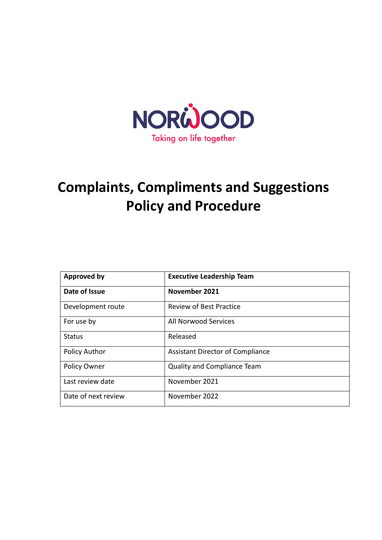

# **Complaints, Compliments and Suggestions Policy and Procedure**

| <b>Approved by</b>   | <b>Executive Leadership Team</b>        |
|----------------------|-----------------------------------------|
| Date of Issue        | November 2021                           |
| Development route    | <b>Review of Best Practice</b>          |
| For use by           | All Norwood Services                    |
| <b>Status</b>        | Released                                |
| <b>Policy Author</b> | <b>Assistant Director of Compliance</b> |
| <b>Policy Owner</b>  | Quality and Compliance Team             |
| Last review date     | November 2021                           |
| Date of next review  | November 2022                           |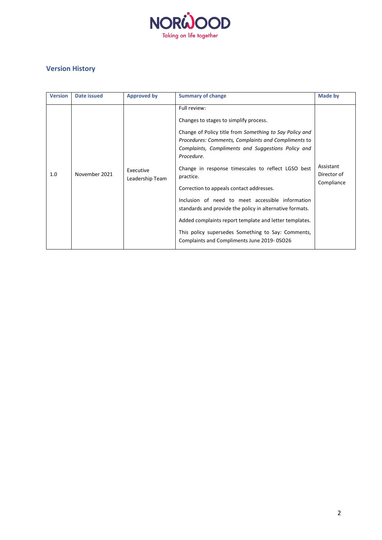

# **Version History**

| <b>Version</b> | Date issued   | <b>Approved by</b>           | <b>Summary of change</b>                                                                                                                                                                                                                                                                                                                                                                                                                                                                                                                                                                                                                  | Made by                                |
|----------------|---------------|------------------------------|-------------------------------------------------------------------------------------------------------------------------------------------------------------------------------------------------------------------------------------------------------------------------------------------------------------------------------------------------------------------------------------------------------------------------------------------------------------------------------------------------------------------------------------------------------------------------------------------------------------------------------------------|----------------------------------------|
| 1.0            | November 2021 | Executive<br>Leadership Team | Full review:<br>Changes to stages to simplify process.<br>Change of Policy title from Something to Say Policy and<br>Procedures: Comments, Complaints and Compliments to<br>Complaints, Compliments and Suggestions Policy and<br>Procedure.<br>Change in response timescales to reflect LGSO best<br>practice.<br>Correction to appeals contact addresses.<br>Inclusion of need to meet accessible information<br>standards and provide the policy in alternative formats.<br>Added complaints report template and letter templates.<br>This policy supersedes Something to Say: Comments,<br>Complaints and Compliments June 2019-0SO26 | Assistant<br>Director of<br>Compliance |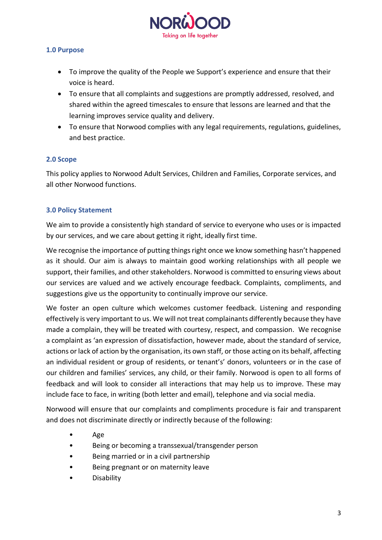

## **1.0 Purpose**

- To improve the quality of the People we Support's experience and ensure that their voice is heard.
- To ensure that all complaints and suggestions are promptly addressed, resolved, and shared within the agreed timescales to ensure that lessons are learned and that the learning improves service quality and delivery.
- To ensure that Norwood complies with any legal requirements, regulations, guidelines, and best practice.

## **2.0 Scope**

This policy applies to Norwood Adult Services, Children and Families, Corporate services, and all other Norwood functions.

## **3.0 Policy Statement**

We aim to provide a consistently high standard of service to everyone who uses or is impacted by our services, and we care about getting it right, ideally first time.

We recognise the importance of putting things right once we know something hasn't happened as it should. Our aim is always to maintain good working relationships with all people we support, their families, and other stakeholders. Norwood is committed to ensuring views about our services are valued and we actively encourage feedback. Complaints, compliments, and suggestions give us the opportunity to continually improve our service.

We foster an open culture which welcomes customer feedback. Listening and responding effectively is very important to us. We will not treat complainants differently because they have made a complain, they will be treated with courtesy, respect, and compassion. We recognise a complaint as 'an expression of dissatisfaction, however made, about the standard of service, actions or lack of action by the organisation, its own staff, or those acting on its behalf, affecting an individual resident or group of residents, or tenant's' donors, volunteers or in the case of our children and families' services, any child, or their family. Norwood is open to all forms of feedback and will look to consider all interactions that may help us to improve. These may include face to face, in writing (both letter and email), telephone and via social media.

Norwood will ensure that our complaints and compliments procedure is fair and transparent and does not discriminate directly or indirectly because of the following:

- Age
- Being or becoming a transsexual/transgender person
- Being married or in a civil partnership
- Being pregnant or on maternity leave
- **Disability**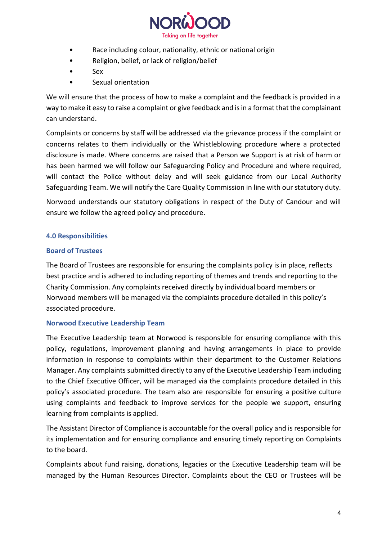

- Race including colour, nationality, ethnic or national origin
- Religion, belief, or lack of religion/belief
- Sex
- Sexual orientation

We will ensure that the process of how to make a complaint and the feedback is provided in a way to make it easy to raise a complaint or give feedback and is in a format that the complainant can understand.

Complaints or concerns by staff will be addressed via the grievance process if the complaint or concerns relates to them individually or the Whistleblowing procedure where a protected disclosure is made. Where concerns are raised that a Person we Support is at risk of harm or has been harmed we will follow our Safeguarding Policy and Procedure and where required, will contact the Police without delay and will seek guidance from our Local Authority Safeguarding Team. We will notify the Care Quality Commission in line with our statutory duty.

Norwood understands our statutory obligations in respect of the Duty of Candour and will ensure we follow the agreed policy and procedure.

# **4.0 Responsibilities**

## **Board of Trustees**

The Board of Trustees are responsible for ensuring the complaints policy is in place, reflects best practice and is adhered to including reporting of themes and trends and reporting to the Charity Commission. Any complaints received directly by individual board members or Norwood members will be managed via the complaints procedure detailed in this policy's associated procedure.

## **Norwood Executive Leadership Team**

The Executive Leadership team at Norwood is responsible for ensuring compliance with this policy, regulations, improvement planning and having arrangements in place to provide information in response to complaints within their department to the Customer Relations Manager. Any complaints submitted directly to any of the Executive Leadership Team including to the Chief Executive Officer, will be managed via the complaints procedure detailed in this policy's associated procedure. The team also are responsible for ensuring a positive culture using complaints and feedback to improve services for the people we support, ensuring learning from complaints is applied.

The Assistant Director of Compliance is accountable for the overall policy and is responsible for its implementation and for ensuring compliance and ensuring timely reporting on Complaints to the board.

Complaints about fund raising, donations, legacies or the Executive Leadership team will be managed by the Human Resources Director. Complaints about the CEO or Trustees will be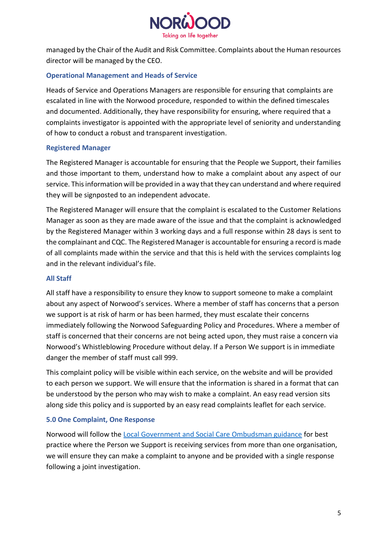

managed by the Chair of the Audit and Risk Committee. Complaints about the Human resources director will be managed by the CEO.

# **Operational Management and Heads of Service**

Heads of Service and Operations Managers are responsible for ensuring that complaints are escalated in line with the Norwood procedure, responded to within the defined timescales and documented. Additionally, they have responsibility for ensuring, where required that a complaints investigator is appointed with the appropriate level of seniority and understanding of how to conduct a robust and transparent investigation.

## **Registered Manager**

The Registered Manager is accountable for ensuring that the People we Support, their families and those important to them, understand how to make a complaint about any aspect of our service. This information will be provided in a way that they can understand and where required they will be signposted to an independent advocate.

The Registered Manager will ensure that the complaint is escalated to the Customer Relations Manager as soon as they are made aware of the issue and that the complaint is acknowledged by the Registered Manager within 3 working days and a full response within 28 days is sent to the complainant and CQC. The Registered Manager is accountable for ensuring a record is made of all complaints made within the service and that this is held with the services complaints log and in the relevant individual's file.

#### **All Staff**

All staff have a responsibility to ensure they know to support someone to make a complaint about any aspect of Norwood's services. Where a member of staff has concerns that a person we support is at risk of harm or has been harmed, they must escalate their concerns immediately following the Norwood Safeguarding Policy and Procedures. Where a member of staff is concerned that their concerns are not being acted upon, they must raise a concern via Norwood's Whistleblowing Procedure without delay. If a Person We support is in immediate danger the member of staff must call 999.

This complaint policy will be visible within each service, on the website and will be provided to each person we support. We will ensure that the information is shared in a format that can be understood by the person who may wish to make a complaint. An easy read version sits along side this policy and is supported by an easy read complaints leaflet for each service.

## **5.0 One Complaint, One Response**

Norwood will follow the [Local Government and Social Care Ombudsman guidance](https://www.lgo.org.uk/assets/attach/4355/Single-comms2-v2.pdf) for best practice where the Person we Support is receiving services from more than one organisation, we will ensure they can make a complaint to anyone and be provided with a single response following a joint investigation.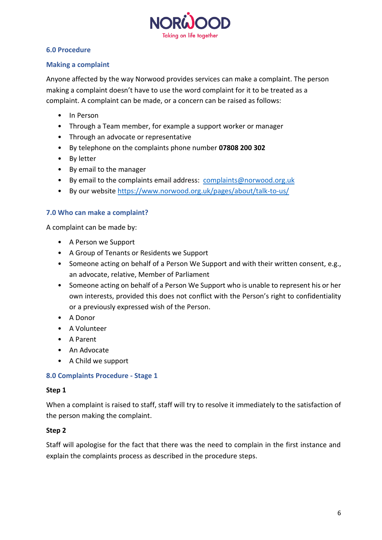

## **6.0 Procedure**

## **Making a complaint**

Anyone affected by the way Norwood provides services can make a complaint. The person making a complaint doesn't have to use the word complaint for it to be treated as a complaint. A complaint can be made, or a concern can be raised as follows:

- In Person
- Through a Team member, for example a support worker or manager
- Through an advocate or representative
- By telephone on the complaints phone number **07808 200 302**
- By letter
- By email to the manager
- By email to the complaints email address: [complaints@norwood.org.uk](mailto:complaints@norwood.org.uk)
- By our website<https://www.norwood.org.uk/pages/about/talk-to-us/>

#### **7.0 Who can make a complaint?**

A complaint can be made by:

- A Person we Support
- A Group of Tenants or Residents we Support
- Someone acting on behalf of a Person We Support and with their written consent, e.g., an advocate, relative, Member of Parliament
- Someone acting on behalf of a Person We Support who is unable to represent his or her own interests, provided this does not conflict with the Person's right to confidentiality or a previously expressed wish of the Person.
- A Donor
- A Volunteer
- A Parent
- An Advocate
- A Child we support

#### **8.0 Complaints Procedure - Stage 1**

#### **Step 1**

When a complaint is raised to staff, staff will try to resolve it immediately to the satisfaction of the person making the complaint.

#### **Step 2**

Staff will apologise for the fact that there was the need to complain in the first instance and explain the complaints process as described in the procedure steps.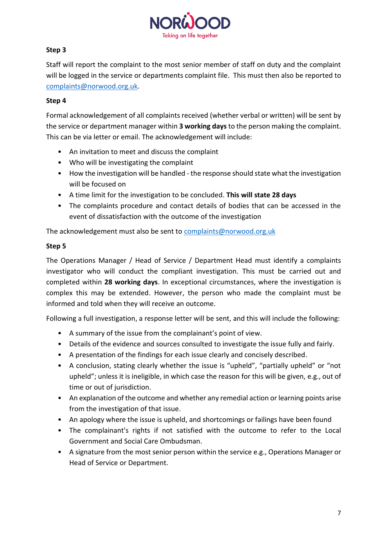

# **Step 3**

Staff will report the complaint to the most senior member of staff on duty and the complaint will be logged in the service or departments complaint file. This must then also be reported to [complaints@norwood.org.uk.](mailto:complaints@norwood.org.uk)

## **Step 4**

Formal acknowledgement of all complaints received (whether verbal or written) will be sent by the service or department manager within **3 working days** to the person making the complaint. This can be via letter or email. The acknowledgement will include:

- An invitation to meet and discuss the complaint
- Who will be investigating the complaint
- How the investigation will be handled the response should state what the investigation will be focused on
- A time limit for the investigation to be concluded. **This will state 28 days**
- The complaints procedure and contact details of bodies that can be accessed in the event of dissatisfaction with the outcome of the investigation

The acknowledgement must also be sent to [complaints@norwood.org.uk](mailto:complaints@norwood.org.uk)

# **Step 5**

The Operations Manager / Head of Service / Department Head must identify a complaints investigator who will conduct the compliant investigation. This must be carried out and completed within **28 working days**. In exceptional circumstances, where the investigation is complex this may be extended. However, the person who made the complaint must be informed and told when they will receive an outcome.

Following a full investigation, a response letter will be sent, and this will include the following:

- A summary of the issue from the complainant's point of view.
- Details of the evidence and sources consulted to investigate the issue fully and fairly.
- A presentation of the findings for each issue clearly and concisely described.
- A conclusion, stating clearly whether the issue is "upheld", "partially upheld" or "not upheld"; unless it is ineligible, in which case the reason for this will be given, e.g., out of time or out of jurisdiction.
- An explanation of the outcome and whether any remedial action or learning points arise from the investigation of that issue.
- An apology where the issue is upheld, and shortcomings or failings have been found
- The complainant's rights if not satisfied with the outcome to refer to the Local Government and Social Care Ombudsman.
- A signature from the most senior person within the service e.g., Operations Manager or Head of Service or Department.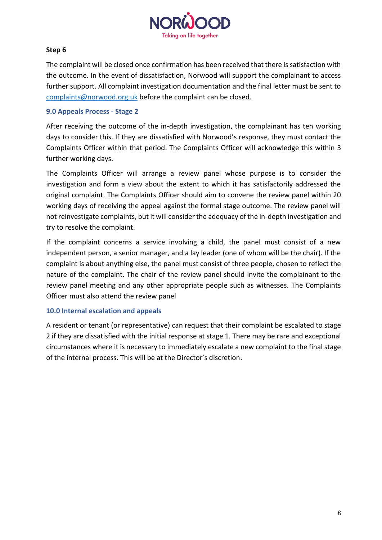

## **Step 6**

The complaint will be closed once confirmation has been received that there is satisfaction with the outcome. In the event of dissatisfaction, Norwood will support the complainant to access further support. All complaint investigation documentation and the final letter must be sent to [complaints@norwood.org.uk](mailto:complaints@norwood.org.uk) before the complaint can be closed.

#### **9.0 Appeals Process - Stage 2**

After receiving the outcome of the in-depth investigation, the complainant has ten working days to consider this. If they are dissatisfied with Norwood's response, they must contact the Complaints Officer within that period. The Complaints Officer will acknowledge this within 3 further working days.

The Complaints Officer will arrange a review panel whose purpose is to consider the investigation and form a view about the extent to which it has satisfactorily addressed the original complaint. The Complaints Officer should aim to convene the review panel within 20 working days of receiving the appeal against the formal stage outcome. The review panel will not reinvestigate complaints, but it will consider the adequacy of the in-depth investigation and try to resolve the complaint.

If the complaint concerns a service involving a child, the panel must consist of a new independent person, a senior manager, and a lay leader (one of whom will be the chair). If the complaint is about anything else, the panel must consist of three people, chosen to reflect the nature of the complaint. The chair of the review panel should invite the complainant to the review panel meeting and any other appropriate people such as witnesses. The Complaints Officer must also attend the review panel

#### **10.0 Internal escalation and appeals**

A resident or tenant (or representative) can request that their complaint be escalated to stage 2 if they are dissatisfied with the initial response at stage 1. There may be rare and exceptional circumstances where it is necessary to immediately escalate a new complaint to the final stage of the internal process. This will be at the Director's discretion.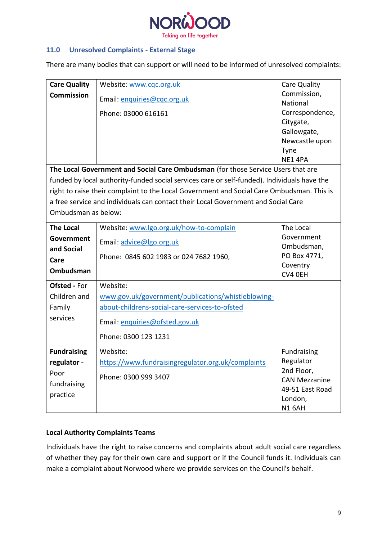

## **11.0 Unresolved Complaints - External Stage**

There are many bodies that can support or will need to be informed of unresolved complaints:

| <b>Care Quality</b>                                                                         | Website: www.cqc.org.uk                                                                   | Care Quality         |  |  |  |  |
|---------------------------------------------------------------------------------------------|-------------------------------------------------------------------------------------------|----------------------|--|--|--|--|
| <b>Commission</b>                                                                           | Email: enquiries@cqc.org.uk                                                               | Commission,          |  |  |  |  |
|                                                                                             |                                                                                           | National             |  |  |  |  |
|                                                                                             | Phone: 03000 616161                                                                       | Correspondence,      |  |  |  |  |
|                                                                                             |                                                                                           | Citygate,            |  |  |  |  |
|                                                                                             |                                                                                           | Gallowgate,          |  |  |  |  |
|                                                                                             |                                                                                           | Newcastle upon       |  |  |  |  |
|                                                                                             |                                                                                           | Tyne                 |  |  |  |  |
|                                                                                             |                                                                                           | NE14PA               |  |  |  |  |
| The Local Government and Social Care Ombudsman (for those Service Users that are            |                                                                                           |                      |  |  |  |  |
| funded by local authority-funded social services care or self-funded). Individuals have the |                                                                                           |                      |  |  |  |  |
|                                                                                             | right to raise their complaint to the Local Government and Social Care Ombudsman. This is |                      |  |  |  |  |
|                                                                                             | a free service and individuals can contact their Local Government and Social Care         |                      |  |  |  |  |
| Ombudsman as below:                                                                         |                                                                                           |                      |  |  |  |  |
|                                                                                             |                                                                                           |                      |  |  |  |  |
| <b>The Local</b>                                                                            | Website: www.lgo.org.uk/how-to-complain                                                   | The Local            |  |  |  |  |
| Government                                                                                  | Email: advice@lgo.org.uk                                                                  | Government           |  |  |  |  |
| and Social                                                                                  |                                                                                           | Ombudsman,           |  |  |  |  |
| Care                                                                                        | Phone: 0845 602 1983 or 024 7682 1960,                                                    | PO Box 4771,         |  |  |  |  |
| <b>Ombudsman</b>                                                                            |                                                                                           | Coventry<br>CV4 OEH  |  |  |  |  |
|                                                                                             |                                                                                           |                      |  |  |  |  |
| <b>Ofsted - For</b>                                                                         | Website:                                                                                  |                      |  |  |  |  |
| Children and                                                                                | www.gov.uk/government/publications/whistleblowing-                                        |                      |  |  |  |  |
| Family                                                                                      | about-childrens-social-care-services-to-ofsted                                            |                      |  |  |  |  |
| services                                                                                    | Email: enquiries@ofsted.gov.uk                                                            |                      |  |  |  |  |
|                                                                                             | Phone: 0300 123 1231                                                                      |                      |  |  |  |  |
| <b>Fundraising</b>                                                                          | Website:                                                                                  | Fundraising          |  |  |  |  |
| regulator -                                                                                 | https://www.fundraisingregulator.org.uk/complaints                                        | Regulator            |  |  |  |  |
| Poor                                                                                        |                                                                                           | 2nd Floor,           |  |  |  |  |
| fundraising                                                                                 | Phone: 0300 999 3407                                                                      | <b>CAN Mezzanine</b> |  |  |  |  |
|                                                                                             |                                                                                           | 49-51 East Road      |  |  |  |  |
| practice                                                                                    |                                                                                           | London,              |  |  |  |  |
|                                                                                             |                                                                                           | <b>N1 6AH</b>        |  |  |  |  |

#### **Local Authority Complaints Teams**

Individuals have the right to raise concerns and complaints about adult social care regardless of whether they pay for their own care and support or if the Council funds it. Individuals can make a complaint about Norwood where we provide services on the Council's behalf.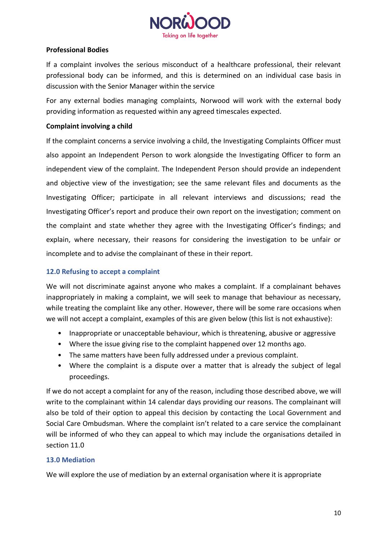

## **Professional Bodies**

If a complaint involves the serious misconduct of a healthcare professional, their relevant professional body can be informed, and this is determined on an individual case basis in discussion with the Senior Manager within the service

For any external bodies managing complaints, Norwood will work with the external body providing information as requested within any agreed timescales expected.

## **Complaint involving a child**

If the complaint concerns a service involving a child, the Investigating Complaints Officer must also appoint an Independent Person to work alongside the Investigating Officer to form an independent view of the complaint. The Independent Person should provide an independent and objective view of the investigation; see the same relevant files and documents as the Investigating Officer; participate in all relevant interviews and discussions; read the Investigating Officer's report and produce their own report on the investigation; comment on the complaint and state whether they agree with the Investigating Officer's findings; and explain, where necessary, their reasons for considering the investigation to be unfair or incomplete and to advise the complainant of these in their report.

## **12.0 Refusing to accept a complaint**

We will not discriminate against anyone who makes a complaint. If a complainant behaves inappropriately in making a complaint, we will seek to manage that behaviour as necessary, while treating the complaint like any other. However, there will be some rare occasions when we will not accept a complaint, examples of this are given below (this list is not exhaustive):

- Inappropriate or unacceptable behaviour, which is threatening, abusive or aggressive
- Where the issue giving rise to the complaint happened over 12 months ago.
- The same matters have been fully addressed under a previous complaint.
- Where the complaint is a dispute over a matter that is already the subject of legal proceedings.

If we do not accept a complaint for any of the reason, including those described above, we will write to the complainant within 14 calendar days providing our reasons. The complainant will also be told of their option to appeal this decision by contacting the Local Government and Social Care Ombudsman. Where the complaint isn't related to a care service the complainant will be informed of who they can appeal to which may include the organisations detailed in section 11.0

#### **13.0 Mediation**

We will explore the use of mediation by an external organisation where it is appropriate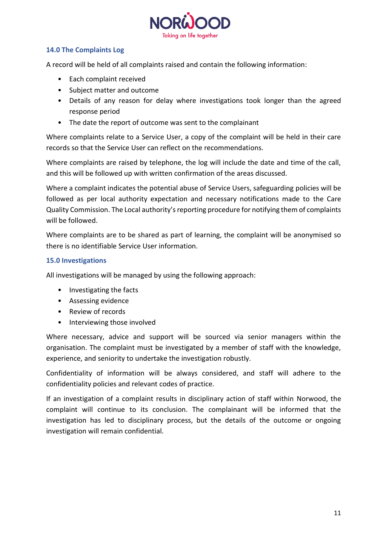

# **14.0 The Complaints Log**

A record will be held of all complaints raised and contain the following information:

- Each complaint received
- Subject matter and outcome
- Details of any reason for delay where investigations took longer than the agreed response period
- The date the report of outcome was sent to the complainant

Where complaints relate to a Service User, a copy of the complaint will be held in their care records so that the Service User can reflect on the recommendations.

Where complaints are raised by telephone, the log will include the date and time of the call, and this will be followed up with written confirmation of the areas discussed.

Where a complaint indicates the potential abuse of Service Users, safeguarding policies will be followed as per local authority expectation and necessary notifications made to the Care Quality Commission. The Local authority's reporting procedure for notifying them of complaints will be followed.

Where complaints are to be shared as part of learning, the complaint will be anonymised so there is no identifiable Service User information.

## **15.0 Investigations**

All investigations will be managed by using the following approach:

- Investigating the facts
- Assessing evidence
- Review of records
- Interviewing those involved

Where necessary, advice and support will be sourced via senior managers within the organisation. The complaint must be investigated by a member of staff with the knowledge, experience, and seniority to undertake the investigation robustly.

Confidentiality of information will be always considered, and staff will adhere to the confidentiality policies and relevant codes of practice.

If an investigation of a complaint results in disciplinary action of staff within Norwood, the complaint will continue to its conclusion. The complainant will be informed that the investigation has led to disciplinary process, but the details of the outcome or ongoing investigation will remain confidential.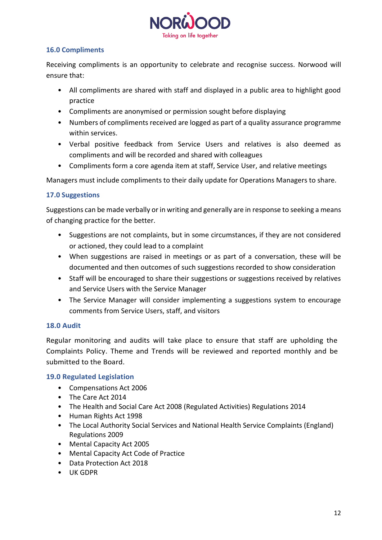

## **16.0 Compliments**

Receiving compliments is an opportunity to celebrate and recognise success. Norwood will ensure that:

- All compliments are shared with staff and displayed in a public area to highlight good practice
- Compliments are anonymised or permission sought before displaying
- Numbers of compliments received are logged as part of a quality assurance programme within services.
- Verbal positive feedback from Service Users and relatives is also deemed as compliments and will be recorded and shared with colleagues
- Compliments form a core agenda item at staff, Service User, and relative meetings

Managers must include compliments to their daily update for Operations Managers to share.

## **17.0 Suggestions**

Suggestions can be made verbally or in writing and generally are in response to seeking a means of changing practice for the better.

- Suggestions are not complaints, but in some circumstances, if they are not considered or actioned, they could lead to a complaint
- When suggestions are raised in meetings or as part of a conversation, these will be documented and then outcomes of such suggestions recorded to show consideration
- Staff will be encouraged to share their suggestions or suggestions received by relatives and Service Users with the Service Manager
- The Service Manager will consider implementing a suggestions system to encourage comments from Service Users, staff, and visitors

## **18.0 Audit**

Regular monitoring and audits will take place to ensure that staff are upholding the Complaints Policy. Theme and Trends will be reviewed and reported monthly and be submitted to the Board.

## **19.0 Regulated Legislation**

- Compensations Act 2006
- The Care Act 2014
- The Health and Social Care Act 2008 (Regulated Activities) Regulations 2014
- Human Rights Act 1998
- The Local Authority Social Services and National Health Service Complaints (England) Regulations 2009
- Mental Capacity Act 2005
- Mental Capacity Act Code of Practice
- Data Protection Act 2018
- UK GDPR